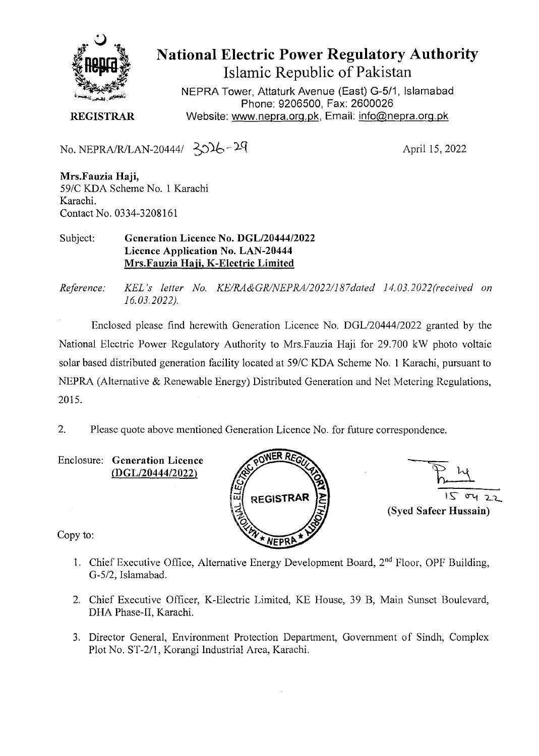

**National Electric Power Regulatory Authority Islamic Republic of Pakistan** 

NEPRA Tower, Attaturk Avenue (East) G-511, Islamabad Phone: 9206500, Fax: 2600026 **REGISTRAR** Website: www.nepra.org.pk, Email: info@nepra.org.pk

No. NEPRA/R/LAN-20444/  $30\frac{1}{6}$  - 29 April 15, 2022

**Mrs.Fauzia Haji,**  *59/C* KDA Scheme No. 1 Karachi Karachi. Contact No. 0334-3208161

Subject: **Generation Licence No. DGL/20444/2022 Licence Application No. LAN-20444 Mrs.Fauzia Haji, K-Electric Limited** 

*Reference: KEL's letter No. KE/RA&GRINEI'RA/2022/187dated 14.03.2022(received on 16.03.2022).* 

Enclosed please find herewith Generation Licence No. DGL/20444/2022 granted by the National Electric Power Regulatory Authority to Mrs.Fauzia Haji for 29.700 kW photo voltaic solar based distributed generation facility located at 59/C KDA Scheme No. 1 Karachi, pursuant to NEPRA (Alternative & Renewable Energy) Distributed Generation and Net Metering Regulations, 2015.

2. Please quote above mentioned Generation Licence No. for future correspondence.

Enclosure: **Generation Licence**  (DGL/20444/2022)





Copy to:

- 1. Chief Executive Office, Alternative Energy Development Board,  $2<sup>nd</sup>$  Floor, OPF Building, 0-5/2, Islamabad.
- 2. Chief Executive Officer, K-Electric Limited, KE House, 39 B, Main Sunset Boulevard, DHA Phase-lI, Karachi.
- 3. Director General, Environment Protection Department, Government of Sindh, Complex Plot No. ST-2/1, Korangi Industrial Area, Karachi.